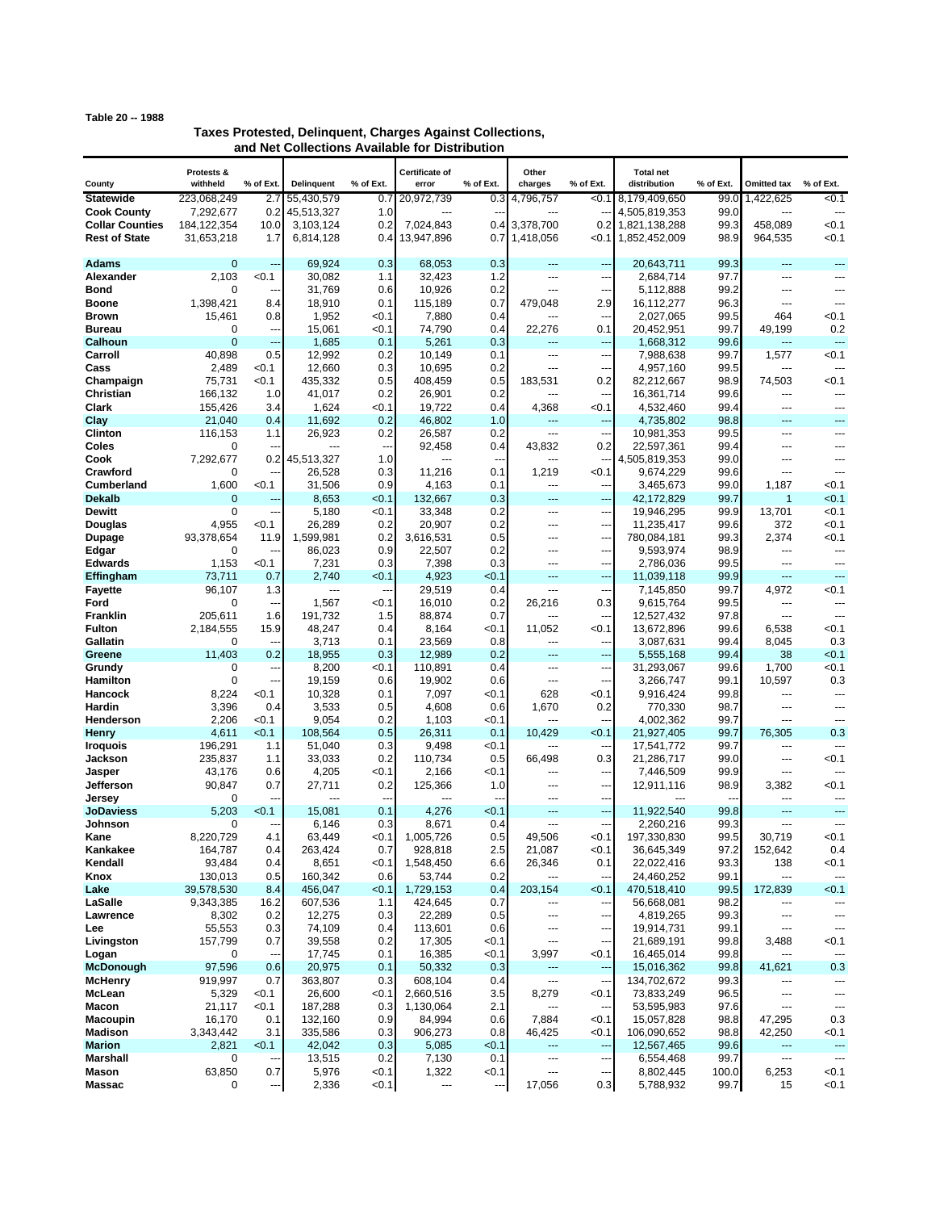## **Table 20 -- 1988**

## **Taxes Protested, Delinquent, Charges Against Collections, and Net Collections Available for Distribution**

|                          | Protests &              |                |                    |              | Certificate of       |                          | Other                 |                                   | <b>Total net</b>          |              |                |                                   |
|--------------------------|-------------------------|----------------|--------------------|--------------|----------------------|--------------------------|-----------------------|-----------------------------------|---------------------------|--------------|----------------|-----------------------------------|
| County                   | withheld                | % of Ext       | Delinquent         | % of Ext.    | error                | % of Ext.                | charges               | % of Ext.                         | distribution              | % of Ext.    | Omitted tax    | % of Ext.                         |
| <b>Statewide</b>         | 223,068,249             | 2.7            | 55,430,579         | 0.7          | 20,972,739           | 0.3                      | 4,796,757             | < 0.1                             | 8,179,409,650             | 99.0         | 1.422,625      | 50.1                              |
| <b>Cook County</b>       | 7,292,677               | 0.2            | 45,513,327         | 1.0          | ---                  |                          |                       |                                   | 4,505,819,353             | 99.0         | $\overline{a}$ | ---                               |
| <b>Collar Counties</b>   | 184, 122, 354           | 10.0           | 3,103,124          | 0.2          | 7,024,843            | 0.4                      | 3,378,700             | 0.2 <sub>l</sub>                  | 1,821,138,288             | 99.3         | 458,089        | < 0.1                             |
| <b>Rest of State</b>     | 31,653,218              | 1.7            | 6,814,128          | 0.4          | 13,947,896           | 0.7                      | 1,418,056             | <0.1∎                             | 1,852,452,009             | 98.9         | 964,535        | < 0.1                             |
| <b>Adams</b>             | $\mathbf 0$             | $\overline{a}$ | 69,924             | 0.3          | 68,053               | 0.3                      | $---$                 | $\overline{a}$                    | 20,643,711                | 99.3         | ---            | $- -$                             |
| <b>Alexander</b>         | 2,103                   | < 0.1          | 30,082             | 1.1          | 32,423               | 1.2                      | ---                   | ---                               | 2,684,714                 | 97.7         | ---            |                                   |
| Bond                     | 0                       |                | 31,769             | 0.6          | 10,926               | 0.2                      | ---                   | ---                               | 5,112,888                 | 99.2         | ---            | ---                               |
| <b>Boone</b>             | 1,398,421               | 8.4            | 18,910             | 0.1          | 115,189              | 0.7                      | 479,048               | 2.9                               | 16,112,277                | 96.3         | ---            | $\overline{a}$                    |
| <b>Brown</b>             | 15,461                  | 0.8            | 1,952              | <0.1         | 7,880                | 0.4                      |                       | $\overline{a}$                    | 2,027,065                 | 99.5         | 464            | < 0.1                             |
| <b>Bureau</b>            | 0                       | --             | 15,061             | <0.1         | 74,790               | 0.4                      | 22,276                | 0.1                               | 20,452,951                | 99.7         | 49,199         | 0.2                               |
| Calhoun                  | $\overline{0}$          | ---            | 1,685              | 0.1          | 5,261                | 0.3                      | $---$                 | $\overline{a}$                    | 1,668,312                 | 99.6         | ---            | ---                               |
| Carroll                  | 40,898                  | 0.5            | 12,992             | 0.2          | 10,149               | 0.1                      | ---                   | ---                               | 7,988,638                 | 99.7         | 1,577          | < 0.1                             |
| Cass                     | 2,489                   | < 0.1<br>< 0.1 | 12,660             | 0.3<br>0.5   | 10,695               | 0.2                      | ---<br>183,531        | ---<br>0.2                        | 4,957,160                 | 99.5<br>98.9 | 74,503         | < 0.1                             |
| Champaign<br>Christian   | 75,731<br>166,132       | 1.0            | 435,332<br>41,017  | 0.2          | 408,459<br>26,901    | 0.5<br>0.2               |                       | ---                               | 82,212,667<br>16,361,714  | 99.6         | ---            |                                   |
| Clark                    | 155,426                 | 3.4            | 1,624              | < 0.1        | 19,722               | 0.4                      | 4,368                 | < 0.1                             | 4,532,460                 | 99.4         | ---            | ---                               |
| Clay                     | 21,040                  | 0.4            | 11,692             | 0.2          | 46,802               | 1.0                      | ---                   | ---                               | 4,735,802                 | 98.8         | ---            | ---                               |
| Clinton                  | 116,153                 | 1.1            | 26,923             | 0.2          | 26,587               | 0.2                      | ---                   | ٠.                                | 10,981,353                | 99.5         | ---            | ---                               |
| Coles                    | 0                       |                |                    | ---          | 92,458               | 0.4                      | 43,832                | 0.2                               | 22,597,361                | 99.4         | ---            | ---                               |
| Cook                     | 7,292,677               | 0.2            | 45,513,327         | 1.0          | ---                  | $\overline{\phantom{a}}$ | ---                   | --                                | 4,505,819,353             | 99.0         | ---            | $\overline{a}$                    |
| Crawford                 | 0                       |                | 26,528             | 0.3          | 11,216               | 0.1                      | 1,219                 | <0.1                              | 9,674,229                 | 99.6         | ---            | ---                               |
| <b>Cumberland</b>        | 1,600                   | < 0.1          | 31,506             | 0.9          | 4,163                | 0.1                      | ---                   | --                                | 3,465,673                 | 99.0         | 1,187          | < 0.1                             |
| <b>Dekalb</b>            | $\mathbf 0$             | --             | 8,653              | < 0.1        | 132,667              | 0.3                      | $---$                 | $\overline{a}$                    | 42,172,829                | 99.7         | 1              | < 0.1                             |
| <b>Dewitt</b>            | 0<br>4,955              | Ξ.<br>< 0.1    | 5,180<br>26,289    | < 0.1<br>0.2 | 33,348<br>20,907     | 0.2<br>0.2               | $---$<br>---          | ---<br>---                        | 19,946,295<br>11,235,417  | 99.9<br>99.6 | 13,701<br>372  | < 0.1<br>< 0.1                    |
| Douglas<br>Dupage        | 93,378,654              | 11.9           | 1,599,981          | 0.2          | 3,616,531            | 0.5                      |                       | ---                               | 780,084,181               | 99.3         | 2,374          | < 0.1                             |
| Edgar                    | 0                       |                | 86,023             | 0.9          | 22,507               | 0.2                      | ---                   | ---                               | 9,593,974                 | 98.9         | ---            | $\overline{a}$                    |
| <b>Edwards</b>           | 1,153                   | < 0.1          | 7,231              | 0.3          | 7,398                | 0.3                      | $\overline{a}$        | ---                               | 2,786,036                 | 99.5         | ---            | $-$                               |
| Effingham                | 73,711                  | 0.7            | 2,740              | <0.1         | 4,923                | < 0.1                    | ---                   | ---                               | 11,039,118                | 99.9         | ---            | $\overline{a}$                    |
| <b>Fayette</b>           | 96,107                  | 1.3            | $---$              | $\sim$       | 29,519               | 0.4                      | $\overline{a}$        | $\overline{a}$                    | 7,145,850                 | 99.7         | 4,972          | < 0.1                             |
| Ford                     | 0                       | --             | 1,567              | <0.1         | 16,010               | 0.2                      | 26,216                | 0.3                               | 9,615,764                 | 99.5         | ---            | ---                               |
| <b>Franklin</b>          | 205,611                 | 1.6            | 191,732            | 1.5          | 88,874               | 0.7                      | ---                   |                                   | 12,527,432                | 97.8         | ---            | ---                               |
| <b>Fulton</b>            | 2,184,555               | 15.9           | 48,247             | 0.4          | 8,164                | <0.1                     | 11,052                | < 0.1                             | 13,672,896                | 99.6         | 6,538          | < 0.1                             |
| Gallatin                 | 0<br>11,403             | 0.2            | 3,713              | 0.1          | 23,569               | 0.8<br>0.2               | ---                   | ---<br>---                        | 3,087,631                 | 99.4<br>99.4 | 8,045<br>38    | 0.3<br>< 0.1                      |
| Greene<br>Grundy         | 0                       | --             | 18,955<br>8,200    | 0.3<br>< 0.1 | 12,989<br>110,891    | 0.4                      | ---<br>$\overline{a}$ | ---                               | 5,555,168<br>31,293,067   | 99.6         | 1,700          | < 0.1                             |
| Hamilton                 | $\Omega$                | ٠.             | 19,159             | 0.6          | 19,902               | 0.6                      | ---                   | ---                               | 3,266,747                 | 99.1         | 10,597         | 0.3                               |
| Hancock                  | 8,224                   | < 0.1          | 10,328             | 0.1          | 7,097                | <0.1                     | 628                   | < 0.1                             | 9,916,424                 | 99.8         | ---            | ---                               |
| Hardin                   | 3,396                   | 0.4            | 3,533              | 0.5          | 4,608                | 0.6                      | 1,670                 | 0.2                               | 770,330                   | 98.7         | ---            | $\sim$                            |
| Henderson                | 2,206                   | < 0.1          | 9,054              | 0.2          | 1,103                | 0.1                      |                       |                                   | 4,002,362                 | 99.7         | ---            |                                   |
| <b>Henry</b>             | 4,611                   | < 0.1          | 108,564            | 0.5          | 26,311               | 0.1                      | 10,429                | < 0.1                             | 21,927,405                | 99.7         | 76,305         | 0.3                               |
| <b>Iroquois</b>          | 196,291                 | 1.1            | 51,040             | 0.3          | 9,498                | < 0.1                    | ---                   | $\overline{a}$                    | 17,541,772                | 99.7         | ---            | ---                               |
| Jackson                  | 235,837                 | 1.1<br>0.6     | 33,033             | 0.2<br>< 0.1 | 110,734              | 0.5<br><0.1              | 66,498<br>---         | 0.3<br>---                        | 21,286,717                | 99.0<br>99.9 | ---<br>---     | < 0.1<br>---                      |
| Jasper<br>Jefferson      | 43,176<br>90.847        | 0.7            | 4,205<br>27,711    | 0.2          | 2,166<br>125,366     | 1.0                      | ---                   | ---                               | 7,446,509<br>12,911,116   | 98.9         | 3,382          | <0.1                              |
| Jersey                   | 0                       |                |                    |              | ---                  |                          |                       | ---                               |                           |              | ---            |                                   |
| JoDaviess                | 5,203                   | < 0.1          | 15,081             | 0.1          | 4,276                | < 0.1                    |                       | ۵.                                | 11,922,540                | 99.8         | ---            | $\overline{a}$                    |
| Johnson                  | 0                       |                | 6,146              | 0.3          | 8,671                | 0.4                      | ---                   | ٠.                                | 2,260,216                 | 99.3         | ---            | ---                               |
| Kane                     | 8.220.729               | 4.1            | 63,449             | < 0.1        | 1,005,726            | 0.5                      | 49,506                | < 0.1                             | 197,330,830               | 99.5         | 30.719         | < 0.1                             |
| Kankakee                 | 164,787                 | 0.4            | 263,424            | 0.7          | 928,818              | 2.5                      | 21,087                | < 0.1                             | 36,645,349                | 97.2         | 152,642        | 0.4                               |
| Kendall                  | 93,484                  | 0.4            | 8,651              | < 0.1        | 1,548,450            | 6.6                      | 26,346                | 0.1                               | 22,022,416                | 93.3         | 138            | <0.1                              |
| Knox<br>Lake             | 130,013                 | 0.5<br>8.4     | 160,342            | 0.6<br>0.1   | 53,744               | 0.2                      | ---<br>203,154        | $\overline{\phantom{a}}$<br>< 0.1 | 24,460,252                | 99.1<br>99.5 | ---            | $\overline{\phantom{a}}$<br>< 0.1 |
| LaSalle                  | 39,578,530<br>9,343,385 | 16.2           | 456,047<br>607,536 | 1.1          | 1,729,153<br>424,645 | 0.4<br>0.7               | ---                   | --                                | 470,518,410<br>56,668,081 | 98.2         | 172,839        |                                   |
| Lawrence                 | 8,302                   | 0.2            | 12,275             | 0.3          | 22,289               | 0.5                      | ---                   | ---                               | 4,819,265                 | 99.3         | ---            | ---                               |
| Lee                      | 55,553                  | 0.3            | 74,109             | 0.4          | 113,601              | 0.6                      | ---                   | ---                               | 19,914,731                | 99.1         | ---            | ---                               |
| Livingston               | 157,799                 | 0.7            | 39,558             | 0.2          | 17,305               | < 0.1                    | ---                   | ---                               | 21,689,191                | 99.8         | 3,488          | <0.1                              |
| Logan                    | 0                       | ---            | 17,745             | 0.1          | 16,385               | < 0.1                    | 3,997                 | < 0.1                             | 16,465,014                | 99.8         | ---            |                                   |
| McDonough                | 97,596                  | 0.6            | 20,975             | 0.1          | 50,332               | 0.3                      | ---                   | $\overline{a}$                    | 15,016,362                | 99.8         | 41,621         | 0.3                               |
| <b>McHenry</b>           | 919,997                 | 0.7            | 363,807            | 0.3          | 608,104              | 0.4                      | ---                   | ---                               | 134,702,672               | 99.3         | ---            | ---                               |
| McLean                   | 5,329                   | < 0.1          | 26,600             | < 0.1        | 2,660,516            | 3.5                      | 8,279                 | < 0.1                             | 73,833,249                | 96.5         | ---            | ---                               |
| Macon<br><b>Macoupin</b> | 21,117<br>16,170        | < 0.1<br>0.1   | 187,288<br>132,160 | 0.3<br>0.9   | 1,130,064<br>84,994  | 2.1<br>0.6               | 7,884                 | ---<br>< 0.1                      | 53,595,983<br>15,057,828  | 97.6<br>98.8 | ---<br>47,295  | ---<br>0.3                        |
| <b>Madison</b>           | 3,343,442               | 3.1            | 335,586            | 0.3          | 906,273              | 0.8                      | 46,425                | < 0.1                             | 106,090,652               | 98.8         | 42,250         | <0.1                              |
| <b>Marion</b>            | 2,821                   | <0.1           | 42,042             | 0.3          | 5,085                | <0.1                     | ---                   | $\overline{a}$                    | 12,567,465                | 99.6         |                | $\overline{a}$                    |
| Marshall                 | 0                       |                | 13,515             | 0.2          | 7,130                | 0.1                      | ---                   | ---                               | 6,554,468                 | 99.7         | ---            | ---                               |
| Mason                    | 63,850                  | 0.7            | 5,976              | < 0.1        | 1,322                | < 0.1                    | ---                   |                                   | 8,802,445                 | 100.0        | 6,253          | <0.1                              |
| <b>Massac</b>            | 0                       | ٠.             | 2,336              | < 0.1        | ---                  | Н,                       | 17,056                | 0.3                               | 5,788,932                 | 99.7         | 15             | < 0.1                             |